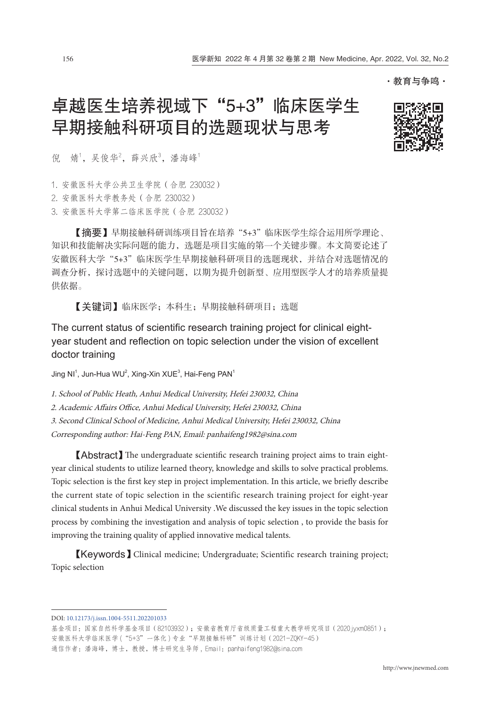·教育与争鸣·

# 卓越医生培养视域下"5+3"临床医学生 早期接触科研项目的选题现状与思考



倪 婧<sup>1</sup>, 吴俊华<sup>2</sup>, 薛兴欣<sup>3</sup>, 潘海峰<sup>1</sup>

1. 安徽医科大学公共卫生学院(合肥 230032)

2. 安徽医科大学教务处(合肥 230032)

3. 安徽医科大学第二临床医学院(合肥 230032)

【摘要】早期接触科研训练项目旨在培养"5+3"临床医学生综合运用所学理论、 知识和技能解决实际问题的能力,选题是项目实施的第一个关键步骤。本文简要论述了 安徽医科大学"5+3"临床医学生早期接触科研项目的选题现状,并结合对选题情况的 调查分析,探讨选题中的关键问题,以期为提升创新型、应用型医学人才的培养质量提 供依据。

【关键词】临床医学;本科生;早期接触科研项目;选题

The current status of scientific research training project for clinical eightyear student and reflection on topic selection under the vision of excellent doctor training

Jing NI $^1$ , Jun-Hua WU $^2$ , Xing-Xin XUE $^3$ , Hai-Feng PAN $^1$ 

1. School of Public Heath, Anhui Medical University, Hefei 230032, China

2. Academic Affairs Office, Anhui Medical University, Hefei 230032, China

3. Second Clinical School of Medicine, Anhui Medical University, Hefei 230032, China

Corresponding author: Hai-Feng PAN, Email: panhaifeng1982@sina.com

【Abstract】The undergraduate scientific research training project aims to train eightyear clinical students to utilize learned theory, knowledge and skills to solve practical problems. Topic selection is the first key step in project implementation. In this article, we briefly describe the current state of topic selection in the scientific research training project for eight-year clinical students in Anhui Medical University .We discussed the key issues in the topic selection process by combining the investigation and analysis of topic selection , to provide the basis for improving the training quality of applied innovative medical talents.

【Keywords】Clinical medicine; Undergraduate; Scientific research training project; Topic selection

[DOI: 10.12173/j.issn.1004-5511.2](http://dx.doi.org/10.12173/j.issn.1004-5511.202201033)02201033

基金项目:国家自然科学基金项目(82103932);安徽省教育厅省级质量工程重大教学研究项目(2020 jyxm0851); 安徽医科大学临床医学 ("5+3"一体化)专业"早期接触科研"训练计划 (2021-ZQKY-45) 通信作者:潘海峰,博士,教授,博士研究生导师,Email: panhaifeng1982@sina.com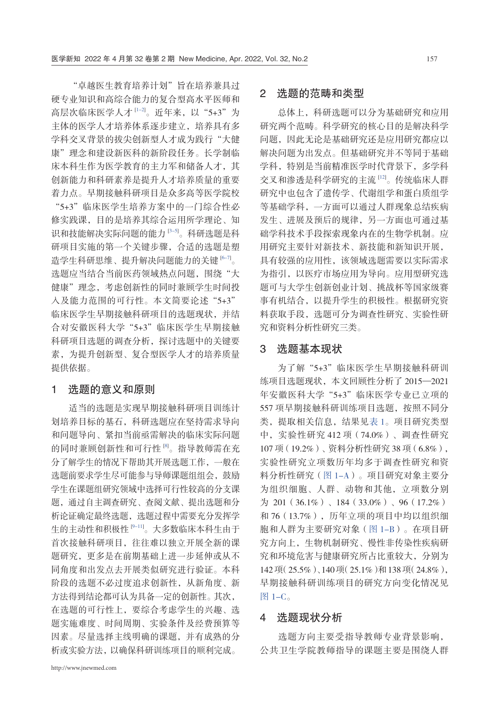"卓越医生教育培养计划"旨在培养兼具过 硬专业知识和高综合能力的复合型高水平医师和 高层次临床医学人才 『--2』。近年来,以"5+3"为 主体的医学人才培养体系逐步建立,培养具有多 学科交叉背景的拔尖创新型人才成为践行"大健 康"理念和建设新医科的新阶段任务。长学制临 床本科生作为医学教育的主力军和储备人才,其 创新能力和科研素养是提升人才培养质量的重要 着力点。早期接触科研项目是众多高等医学院校 "5+3"临床医学生培养方案中的一门综合性必 修实践课,目的是培养其综合运用所学理论、知 识和技能解决实际问题的能力 [[3-5](#page-3-1)] 。科研选题是科 研项目实施的第一个关键步骤,合适的选题是塑 造学生科研思维、提升解决问题能力的关键 [\[6-7\]](#page-3-2)。 选题应当结合当前医药领域热点问题, 围绕"大 健康"理念,考虑创新性的同时兼顾学生时间投 入及能力范围的可行性。本文简要论述"5+3" 临床医学生早期接触科研项目的选题现状,并结 合对安徽医科大学"5+3"临床医学生早期接触 科研项目选题的调查分析,探讨选题中的关键要 素,为提升创新型、复合型医学人才的培养质量 提供依据。

### 1 选题的意义和原则

适当的选题是实现早期接触科研项目训练计 划培养目标的基石,科研选题应在坚持需求导向 和问题导向、紧扣当前亟需解决的临床实际问题 的同时兼顾创新性和可行性 <sup>[\[8](#page-3-3)]</sup>。指导教师需在充 分了解学生的情况下帮助其开展选题工作,一般在 选题前要求学生尽可能参与导师课题组组会,鼓励 学生在课题组研究领域中选择可行性较高的分支课 题,通过自主调查研究、查阅文献、提出选题和分 析论证确定最终选题,选题过程中需要充分发挥学 生的主动性和积极性 『-11]。大多数临床本科生由于 首次接触科研项目,往往难以独立开展全新的课 题研究,更多是在前期基础上进一步延伸或从不 同角度和出发点去开展类似研究进行验证。本科 阶段的选题不必过度追求创新性,从新角度、新 方法得到结论都可认为具备一定的创新性。其次, 在选题的可行性上,要综合考虑学生的兴趣、选 题实施难度、时间周期、实验条件及经费预算等 因素。尽量选择主线明确的课题,并有成熟的分 析或实验方法,以确保科研训练项目的顺利完成。

# 2 选题的范畴和类型

总体上,科研选题可以分为基础研究和应用 研究两个范畴。科学研究的核心目的是解决科学 问题,因此无论是基础研究还是应用研究都应以 解决问题为出发点。但基础研究并不等同于基础 学科,特别是当前精准医学时代背景下,多学科 交叉和渗透是科学研究的主流 [\[12](#page-4-0)] 。传统临床人群 研究中也包含了遗传学、代谢组学和蛋白质组学 等基础学科,一方面可以通过人群现象总结疾病 发生、进展及预后的规律,另一方面也可通过基 础学科技术手段探索现象内在的生物学机制。应 用研究主要针对新技术、新技能和新知识开展, 具有较强的应用性,该领域选题需要以实际需求 为指引,以医疗市场应用为导向。应用型研究选 题可与大学生创新创业计划、挑战杯等国家级赛 事有机结合,以提升学生的积极性。根据研究资 料获取手段,选题可分为调查性研究、实验性研 究和资料分析性研究三类。

#### 3 选题基本现状

为了解"5+3"临床医学生早期接触科研训 练项目选题现状,本文回顾性分析了 2015—2021 年安徽医科大学"5+3"临床医学专业已立项的 557 项早期接触科研训练项目选题,按照不同分 类,提取相关信息,结果[见表 1](#page-2-0)。项目研究类型 中,实验性研究 412 项(74.0%)、调查性研究 107 项(19.2%)、资料分析性研究 38 项(6.8%), 实验性研究立项数历年均多于调查性研究和资 料分析性研究([图 1-A](#page-2-1))。项目研究对象主要分 为组织细胞、人群、动物和其他,立项数分别 为 201(36.1%)、184(33.0%)、96(17.2%) 和 76 (13.7%),历年立项的项目中均以组织细 胞和人群为主要研究对象[\(图 1-B\)](#page-2-1)。在项目研 究方向上,生物机制研究、慢性非传染性疾病研 究和环境危害与健康研究所占比重较大,分别为 142 项(25.5%)、140 项(25.1%)和 138 项(24.8%), 早期接触科研训练项目的研究方向变化情况见 [图 1-C](#page-2-1)。

## 4 选题现状分析

选题方向主要受指导教师专业背景影响, 公共卫生学院教师指导的课题主要是围绕人群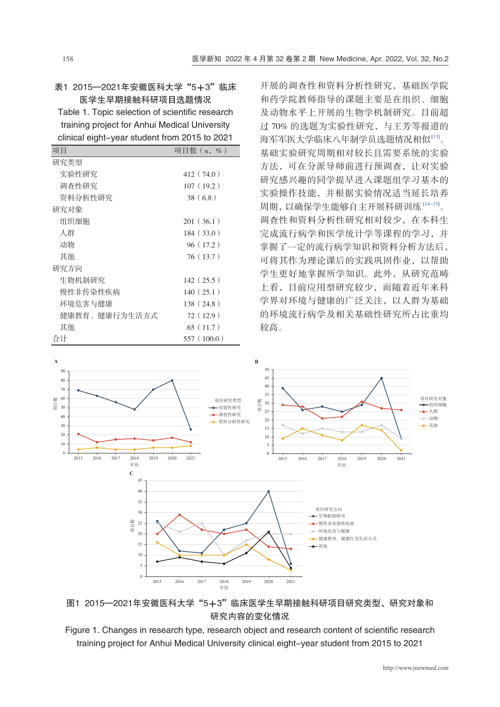### <span id="page-2-0"></span>表1 2015—2021年安徽医科大学"5+3"临床 医学生早期接触科研项目选题情况

Table 1. Topic selection of scientific research training project for Anhui Medical University clinical eight-year student from 2015 to 2021

| 项目            | 项目数 (n, %) |
|---------------|------------|
| 研究类型          |            |
| 实验性研究         | 412 (74.0) |
| 调杳性研究         | 107(19.2)  |
| 资料分析性研究       | 38(6.8)    |
| 研究对象          |            |
| 组织细胞          | 201(36.1)  |
| 人群            | 184(33.0)  |
| 动物            | 96(17.2)   |
| 其他            | 76(13.7)   |
| 研究方向          |            |
| 生物机制研究        | 142(25.5)  |
| 慢性非传染性疾病      | 140(25.1)  |
| 环境危害与健康       | 138 (24.8) |
| 健康教育、健康行为牛活方式 | 72(12.9)   |
| 其他            | 65(11.7)   |
| 合计            | 557(100.0) |

开展的调查性和资料分析性研究,基础医学院 和药学院教师指导的课题主要是在组织、细胞 及动物水平上开展的生物学机制研究。目前超 过 70% 的选题为实验性研究,与王芳等报道的 海军军医大学临床八年制学员选题情况相似[[13\]](#page-4-1)。 基础实验研究周期相对较长且需要系统的实验 方法,可在分派导师前进行预调查,让对实验 研究感兴趣的同学提早进入课题组学习基本的 实验操作技能,并根据实验情况适当延长培养 周期,以确保学生能够自主开展科研训练 [[14-15\]](#page-4-2) 。 调查性和资料分析性研究相对较少,在本科生 完成流行病学和医学统计学等课程的学习,并 掌握了一定的流行病学知识和资料分析方法后, 可将其作为理论课后的实践巩固作业,以帮助 学生更好地掌握所学知识。此外,从研究范畴 上看,目前应用型研究较少,而随着近年来科 学界对环境与健康的广泛关注,以人群为基础 的环境流行病学及相关基础性研究所占比重均 较高。



<span id="page-2-1"></span>图1 2015—2021年安徽医科大学"5+3"临床医学生早期接触科研项目研究类型、研究对象和 研究内容的变化情况

Figure 1. Changes in research type, research object and research content of scientific research training project for Anhui Medical University clinical eight-year student from 2015 to 2021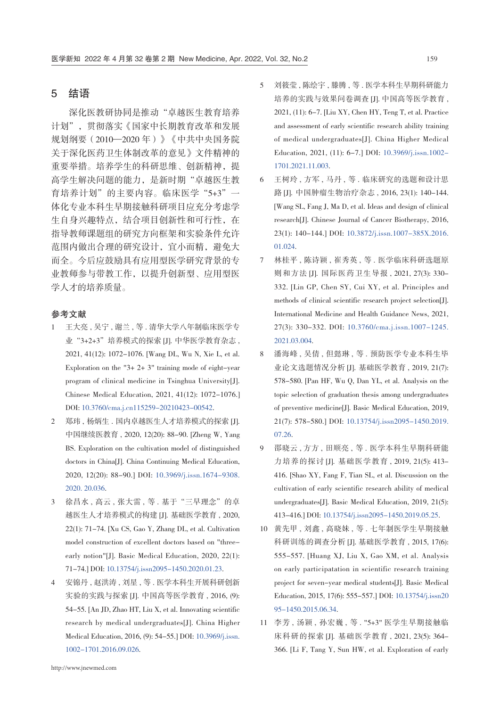# 5 结语

深化医教研协同是推动"卓越医生教育培养 计划",贯彻落实《国家中长期教育改革和发展 规划纲要(2010—2020 年)》《中共中央国务院 关于深化医药卫生体制改革的意见》文件精神的 重要举措。培养学生的科研思维、创新精神,提 高学生解决问题的能力,是新时期"卓越医生教 育培养计划"的主要内容。临床医学"5+3"一 体化专业本科生早期接触科研项目应充分考虑学 生自身兴趣特点,结合项目创新性和可行性,在 指导教师课题组的研究方向框架和实验条件允许 范围内做出合理的研究设计,宜小而精,避免大 而全。今后应鼓励具有应用型医学研究背景的专 业教师参与带教工作,以提升创新型、应用型医 学人才的培养质量。

#### 参考文献

- <span id="page-3-0"></span>1 王大亮 , 吴宁 , 谢兰 , 等 . 清华大学八年制临床医学专 业 "3+2+3"培养模式的探索 [J]. 中华医学教育杂志, 2021, 41(12): 1072-1076. [Wang DL, Wu N, Xie L, et al. Exploration on the "3+ 2+ 3" training mode of eight-year program of clinical medicine in Tsinghua University[J]. Chinese Medical Education, 2021, 41(12): 1072-1076.] DOI: [10.3760/cma.j.cn115259-20210423-00542](https://d.wanfangdata.com.cn/periodical/ChlQZXJpb2RpY2FsQ0hJTmV3UzIwMjExMjMwEg55aXhqeTIwMjExMjAwNBoIcDhyemhjajM%3D).
- 2 郑玮 , 杨炳生 . 国内卓越医生人才培养模式的探索 [J]. 中国继续医教育 , 2020, 12(20): 88-90. [Zheng W, Yang BS. Exploration on the cultivation model of distinguished doctors in China[J]. China Continuing Medical Education, 2020, 12(20): 88-90.] DOI: [10.3969/j.issn.1674-9308.](https://d.wanfangdata.com.cn/periodical/ChlQZXJpb2RpY2FsQ0hJTmV3UzIwMjExMjMwEhF6Z2p4eXhqeTIwMjAyMDAzNhoIeTdyMmNyZ3Y%3D)  [2020. 20.036.](https://d.wanfangdata.com.cn/periodical/ChlQZXJpb2RpY2FsQ0hJTmV3UzIwMjExMjMwEhF6Z2p4eXhqeTIwMjAyMDAzNhoIeTdyMmNyZ3Y%3D)
- <span id="page-3-1"></span>3 徐昌水, 高云, 张大雷, 等. 基于"三早理念"的卓 越医生人才培养模式的构建 [J]. 基础医学教育 , 2020, 22(1): 71-74. [Xu CS, Gao Y, Zhang DL, et al. Cultivation model construction of excellent doctors based on "threeearly notion"[J]. Basic Medical Education, 2020, 22(1): 71-74.] DOI: [10.13754/j.issn2095-1450.2020.01.23](https://d.wanfangdata.com.cn/periodical/ChlQZXJpb2RpY2FsQ0hJTmV3UzIwMjExMjMwEhlzeHlrZHh4Yi1qY3l4anliMjAyMDAxMDI0GghobmhqaG1xag%3D%3D).
- 4 安锦丹 , 赵洪涛 , 刘星 , 等 . 医学本科生开展科研创新 实验的实践与探索 [J]. 中国高等医学教育 , 2016, (9): 54-55. [An JD, Zhao HT, Liu X, et al. Innovating scientific research by medical undergraduates[J]. China Higher Medical Education, 2016, (9): 54-55.] DOI: [10.3969/j.issn.](https://d.wanfangdata.com.cn/periodical/ChlQZXJpb2RpY2FsQ0hJTmV3UzIwMjExMjMwEhF6Z2dkeXhqeTIwMTYwOTAyNhoIYjJuaWE2MXY%3D)  [1002-1701.2016.09.026](https://d.wanfangdata.com.cn/periodical/ChlQZXJpb2RpY2FsQ0hJTmV3UzIwMjExMjMwEhF6Z2dkeXhqeTIwMTYwOTAyNhoIYjJuaWE2MXY%3D).
- 5 刘筱莹 , 陈绘宇 , 滕腾 , 等 . 医学本科生早期科研能力 培养的实践与效果问卷调查 [J]. 中国高等医学教育 , 2021, (11): 6-7. [Liu XY, Chen HY, Teng T, et al. Practice and assessment of early scientific research ability training of medical undergraduates[J]. China Higher Medical Education, 2021, (11): 6-7.] DOI: [10.3969/j.issn.1002-](https://d.wanfangdata.com.cn/periodical/ChlQZXJpb2RpY2FsQ0hJTmV3UzIwMjExMjMwEhF6Z2dkeXhqeTIwMjExMTAwNBoIdGhuOWo3MTY%3D) [1701.2021.11.003](https://d.wanfangdata.com.cn/periodical/ChlQZXJpb2RpY2FsQ0hJTmV3UzIwMjExMjMwEhF6Z2dkeXhqeTIwMjExMTAwNBoIdGhuOWo3MTY%3D).
- <span id="page-3-2"></span>6 王树玲 , 方军 , 马丹 , 等 . 临床研究的选题和设计思 路 [J]. 中国肿瘤生物治疗杂志 , 2016, 23(1): 140-144. [Wang SL, Fang J, Ma D, et al. Ideas and design of clinical research[J]. Chinese Journal of Cancer Biotherapy, 2016, 23(1): 140-144.] DOI: [10.3872/j.issn.1007-385X.2016.](https://d.wanfangdata.com.cn/periodical/ChlQZXJpb2RpY2FsQ0hJTmV3UzIwMjExMjMwEhN6Z3psc3d6bHp6MjAxNjAxMDI0GghvY2JwemVpbQ%3D%3D) [01.024](https://d.wanfangdata.com.cn/periodical/ChlQZXJpb2RpY2FsQ0hJTmV3UzIwMjExMjMwEhN6Z3psc3d6bHp6MjAxNjAxMDI0GghvY2JwemVpbQ%3D%3D).
- 7 林桂平 , 陈诗颖 , 崔秀英 , 等 . 医学临床科研选题原 则和方法 [J]. 国际医药卫生导报 , 2021, 27(3): 330- 332. [Lin GP, Chen SY, Cui XY, et al. Principles and methods of clinical scientific research project selection[J]. International Medicine and Health Guidance News, 2021, 27(3): 330-332. DOI: [10.3760/cma.j.issn.1007-1245.](https://d.wanfangdata.com.cn/periodical/ChlQZXJpb2RpY2FsQ0hJTmV3UzIwMjExMjMwEhFnanl5d3NkYjIwMjEwMzAwNhoIeHIzaWl1MWk%3D) [2021.03.004](https://d.wanfangdata.com.cn/periodical/ChlQZXJpb2RpY2FsQ0hJTmV3UzIwMjExMjMwEhFnanl5d3NkYjIwMjEwMzAwNhoIeHIzaWl1MWk%3D).
- <span id="page-3-3"></span>8 潘海峰 , 吴倩 , 但懿琳 , 等 . 预防医学专业本科生毕 业论文选题情况分析 [J]. 基础医学教育 , 2019, 21(7): 578-580. [Pan HF, Wu Q, Dan YL, et al. Analysis on the topic selection of graduation thesis among undergraduates of preventive medicine[J]. Basic Medical Education, 2019, 21(7): 578-580.] DOI: [10.13754/j.issn2095-1450.2019.](https://d.wanfangdata.com.cn/periodical/ChlQZXJpb2RpY2FsQ0hJTmV3UzIwMjExMjMwEhlzeHlrZHh4Yi1qY3l4anliMjAxOTA3MDI2Ggh3b215bWhpcw%3D%3D) [07.26.](https://d.wanfangdata.com.cn/periodical/ChlQZXJpb2RpY2FsQ0hJTmV3UzIwMjExMjMwEhlzeHlrZHh4Yi1qY3l4anliMjAxOTA3MDI2Ggh3b215bWhpcw%3D%3D)
- <span id="page-3-4"></span>9 邵晓云 , 方方 , 田顺亮 , 等 . 医学本科生早期科研能 力培养的探讨 [J]. 基础医学教育 , 2019, 21(5): 413- 416. [Shao XY, Fang F, Tian SL, et al. Discussion on the cultivation of early scientific research ability of medical undergraduates[J]. Basic Medical Education, 2019, 21(5): 413-416.] DOI: [10.13754/j.issn2095-1450.2019.05.25](https://d.wanfangdata.com.cn/periodical/ChlQZXJpb2RpY2FsQ0hJTmV3UzIwMjExMjMwEhlzeHlrZHh4Yi1qY3l4anliMjAxOTA1MDI1GggxeThpYzR6bQ%3D%3D).
- 10 黄先甲 , 刘鑫 , 高晓妹 , 等 . 七年制医学生早期接触 科研训练的调查分析 [J]. 基础医学教育 , 2015, 17(6): 555-557. [Huang XJ, Liu X, Gao XM, et al. Analysis on early participatation in scientific research training project for seven-year medical students[J]. Basic Medical Education, 2015, 17(6): 555-557.] DOI: [10.13754/j.issn20](https://d.wanfangdata.com.cn/periodical/ChlQZXJpb2RpY2FsQ0hJTmV3UzIwMjExMjMwEhlzeHlrZHh4Yi1qY3l4anliMjAxNTA2MDM1GghpbG1tdW91NQ%3D%3D) [95-1450.2015.06.34.](https://d.wanfangdata.com.cn/periodical/ChlQZXJpb2RpY2FsQ0hJTmV3UzIwMjExMjMwEhlzeHlrZHh4Yi1qY3l4anliMjAxNTA2MDM1GghpbG1tdW91NQ%3D%3D)
- 11 李芳 , 汤颖 , 孙宏巍 , 等 . "5+3" 医学生早期接触临 床科研的探索 [J]. 基础医学教育 , 2021, 23(5): 364- 366. [Li F, Tang Y, Sun HW, et al. Exploration of early